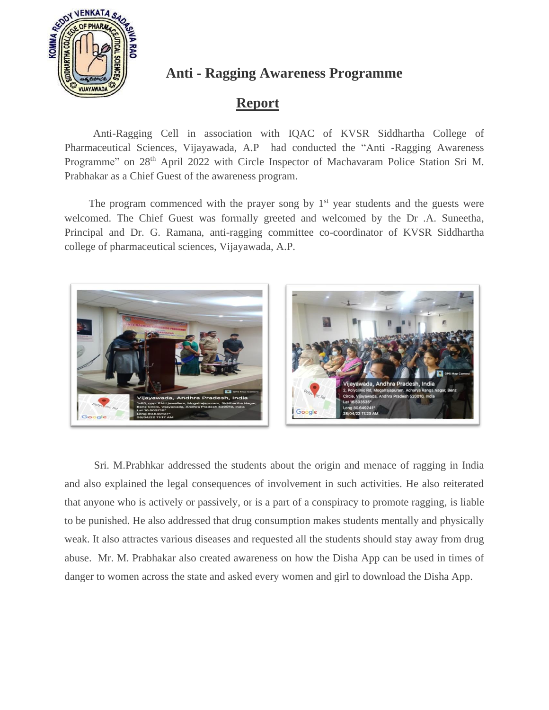

#### **Anti - Ragging Awareness Programme**

### **Report**

Anti-Ragging Cell in association with IQAC of KVSR Siddhartha College of Pharmaceutical Sciences, Vijayawada, A.P had conducted the "Anti -Ragging Awareness Programme" on 28<sup>th</sup> April 2022 with Circle Inspector of Machavaram Police Station Sri M. Prabhakar as a Chief Guest of the awareness program.

The program commenced with the prayer song by  $1<sup>st</sup>$  year students and the guests were welcomed. The Chief Guest was formally greeted and welcomed by the Dr .A. Suneetha, Principal and Dr. G. Ramana, anti-ragging committee co-coordinator of KVSR Siddhartha college of pharmaceutical sciences, Vijayawada, A.P.



 Sri. M.Prabhkar addressed the students about the origin and menace of ragging in India and also explained the legal consequences of involvement in such activities. He also reiterated that anyone who is actively or passively, or is a part of a conspiracy to promote ragging, is liable to be punished. He also addressed that drug consumption makes students mentally and physically weak. It also attractes various diseases and requested all the students should stay away from drug abuse. Mr. M. Prabhakar also created awareness on how the Disha App can be used in times of danger to women across the state and asked every women and girl to download the Disha App.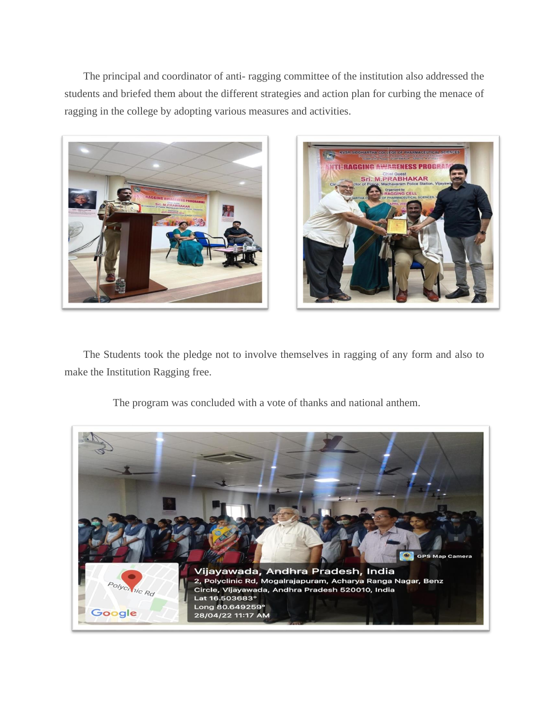The principal and coordinator of anti- ragging committee of the institution also addressed the students and briefed them about the different strategies and action plan for curbing the menace of ragging in the college by adopting various measures and activities.





 The Students took the pledge not to involve themselves in ragging of any form and also to make the Institution Ragging free.



The program was concluded with a vote of thanks and national anthem.